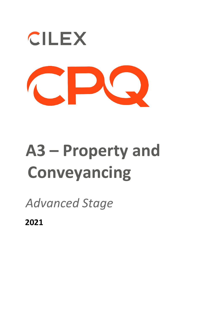

# **A3 – Property and Conveyancing**

*Advanced Stage* 

**2021**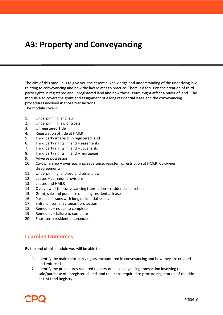# **A3: Property and Conveyancing**

The aim of this module is to give you the essential knowledge and understanding of the underlying law relating to conveyancing and how the law relates to practice. There is a focus on the creation of thirdparty rights in registered and unregistered land and how these issues might affect a buyer of land. The module also covers the grant and assignment of a long residential lease and the conveyancing procedures involved in those transactions.

The module covers:

- 1. Underpinning land law
- 2. Underpinning law of trusts
- 3. Unregistered Title
- 4. Registration of title at HMLR
- 5. Third party interests in registered land
- 6. Third party rights in land easements
- 7. Third party rights in land covenants
- 8. Third party rights in land mortgages
- 9. Adverse possession
- 10. Co-ownership overreaching; severance; registering restriction at HMLR; Co-owner disagreements
- 11. Underpinning landlord and tenant law
- 12. Leases common provisions
- 13. Leases and HMLR
- 14. Overview of the conveyancing transaction residential leasehold
- 15. Grant, sale and purchase of a long residential lease
- 16. Particular issues with long residential leases
- 17. Enfranchisement / tenant protection
- 18. Remedies notice to complete
- 19. Remedies failure to complete
- 20. Short term residential tenancies

## **Learning Outcomes**

By the end of this module you will be able to:

- 1. Identify the main third-party rights encountered in conveyancing and how they are created and enforced
- 2. Identify the procedures required to carry out a conveyancing transaction involving the sale/purchase of unregistered land, and the steps required to procure registration of the title at HM Land Registry

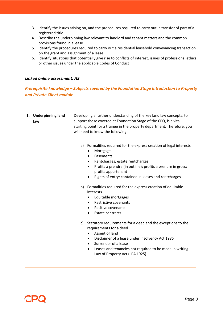- 3. Identify the issues arising on, and the procedures required to carry out, a transfer of part of a registered title
- 4. Describe the underpinning law relevant to landlord and tenant matters and the common provisions found in a lease
- 5. Identify the procedures required to carry out a residential leasehold conveyancing transaction on the grant and assignment of a lease
- 6. Identify situations that potentially give rise to conflicts of interest, issues of professional ethics or other issues under the applicable Codes of Conduct

#### *Linked online assessment: A3*

### *Prerequisite knowledge – Subjects covered by the Foundation Stage Introduction to Property and Private Client module*

| 1. Underpinning land<br>law | Developing a further understanding of the key land law concepts, to<br>support those covered at Foundation Stage of the CPQ, is a vital<br>starting point for a trainee in the property department. Therefore, you<br>will need to know the following:                                                                   |
|-----------------------------|--------------------------------------------------------------------------------------------------------------------------------------------------------------------------------------------------------------------------------------------------------------------------------------------------------------------------|
|                             | Formalities required for the express creation of legal interests<br>a)<br>Mortgages<br>$\bullet$<br>Easements<br>$\bullet$<br>Rentcharges; estate rentcharges<br>$\bullet$<br>Profits à prendre (in outline): profits a prendre in gross;<br>profits appurtenant<br>Rights of entry: contained in leases and rentcharges |
|                             | b) Formalities required for the express creation of equitable<br>interests<br>Equitable mortgages<br>$\bullet$<br>Restrictive covenants<br>$\bullet$<br>Positive covenants<br><b>Estate contracts</b><br>$\bullet$                                                                                                       |
|                             | c) Statutory requirements for a deed and the exceptions to the<br>requirements for a deed<br>Assent of land<br>$\bullet$<br>Disclaimer of a lease under Insolvency Act 1986<br>Surrender of a lease<br>$\bullet$<br>Leases and tenancies not required to be made in writing<br>٠<br>Law of Property Act (LPA 1925)       |

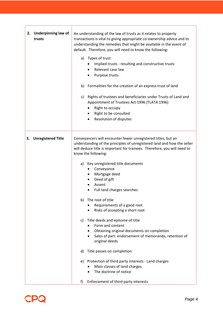| 2. Underpinning law of<br>trusts | An understanding of the law of trusts as it relates to property<br>transactions is vital to giving appropriate co-ownership advice and to<br>understanding the remedies that might be available in the event of<br>default. Therefore, you will need to know the following:<br>a) Types of trust<br>Implied trusts - resulting and constructive trusts<br>Relevant case law<br>Purpose trusts<br>b) Formalities for the creation of an express trust of land<br>Rights of trustees and beneficiaries under Trusts of Land and<br>C)<br>Appointment of Trustees Act 1996 (TLATA 1996)<br>Right to occupy<br>Right to be consulted<br><b>Resolution of disputes</b>                                                                                                                                                          |
|----------------------------------|----------------------------------------------------------------------------------------------------------------------------------------------------------------------------------------------------------------------------------------------------------------------------------------------------------------------------------------------------------------------------------------------------------------------------------------------------------------------------------------------------------------------------------------------------------------------------------------------------------------------------------------------------------------------------------------------------------------------------------------------------------------------------------------------------------------------------|
| <b>Unregistered Title</b><br>3.  | Conveyancers will encounter fewer unregistered titles, but an<br>understanding of the principles of unregistered land and how the seller<br>will deduce title is important for trainees. Therefore, you will need to<br>know the following:<br>Key unregistered title documents<br>a)<br>Conveyance<br>Mortgage deed<br>Deed of gift<br>Assent<br>Full land charges searches<br>The root of title<br>b)<br>Requirements of a good root<br>Risks of accepting a short root<br>Title deeds and epitome of title<br>C)<br>Form and content<br>Obtaining original documents on completion<br>Sales of part: endorsement of memoranda, retention of<br>original deeds<br>Title passes on completion<br>d)<br>Protection of third party interests - Land charges<br>e)<br>Main classes of land charges<br>The doctrine of notice |
|                                  | Enforcement of third-party interests<br>f)                                                                                                                                                                                                                                                                                                                                                                                                                                                                                                                                                                                                                                                                                                                                                                                 |

.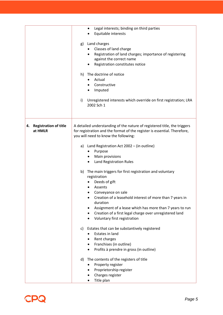|                                               | Legal interests; binding on third parties<br>Equitable interests<br>Land charges<br>g)<br>Classes of land charge<br>Registration of land charges; importance of registering<br>against the correct name<br>Registration constitutes notice<br>The doctrine of notice<br>h)<br>Actual<br>Constructive<br>Imputed<br>i)<br>Unregistered interests which override on first registration; LRA<br>2002 Sch 1                                                                                                                                                                                                                                                                                                                                                                                                                                                                                                                                                                |
|-----------------------------------------------|------------------------------------------------------------------------------------------------------------------------------------------------------------------------------------------------------------------------------------------------------------------------------------------------------------------------------------------------------------------------------------------------------------------------------------------------------------------------------------------------------------------------------------------------------------------------------------------------------------------------------------------------------------------------------------------------------------------------------------------------------------------------------------------------------------------------------------------------------------------------------------------------------------------------------------------------------------------------|
| <b>Registration of title</b><br>4.<br>at HMLR | A detailed understanding of the nature of registered title, the triggers<br>for registration and the format of the register is essential. Therefore,<br>you will need to know the following:<br>a) Land Registration Act 2002 - (in outline)<br>Purpose<br>Main provisions<br>Land Registration Rules<br>b) The main triggers for first registration and voluntary<br>registration<br>Deeds of gift<br>Assents<br>Conveyance on sale<br>Creation of a leasehold interest of more than 7 years in<br>duration<br>Assignment of a lease which has more than 7 years to run<br>Creation of a first legal charge over unregistered land<br>Voluntary first registration<br>c) Estates that can be substantively registered<br>Estates in land<br>Rent charges<br>٠<br>Franchises (in outline)<br>Profits à prendre in gross (in outline)<br>The contents of the registers of title<br>d)<br>Property register<br>Proprietorship register<br>Charges register<br>Title plan |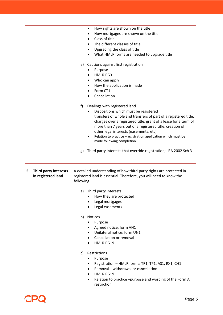|                                                   | How rights are shown on the title<br>How mortgages are shown on the title<br>Class of title<br>The different classes of title<br>Upgrading the class of title<br>What HMLR forms are needed to upgrade title<br>e) Cautions against first registration<br>Purpose<br><b>HMLR PG3</b><br>Who can apply<br>How the application is made<br>Form CT1<br>Cancellation<br>f)<br>Dealings with registered land<br>Dispositions which must be registered<br>transfers of whole and transfers of part of a registered title,<br>charges over a registered title, grant of a lease for a term of<br>more than 7 years out of a registered title, creation of<br>other legal interests (easements, etc)<br>Relation to practice -registration application which must be<br>made following completion<br>Third party interests that override registration; LRA 2002 Sch 3<br>g) |
|---------------------------------------------------|---------------------------------------------------------------------------------------------------------------------------------------------------------------------------------------------------------------------------------------------------------------------------------------------------------------------------------------------------------------------------------------------------------------------------------------------------------------------------------------------------------------------------------------------------------------------------------------------------------------------------------------------------------------------------------------------------------------------------------------------------------------------------------------------------------------------------------------------------------------------|
| 5.<br>Third party interests<br>in registered land | A detailed understanding of how third-party rights are protected in<br>registered land is essential. Therefore, you will need to know the<br>following<br>a) Third party interests<br>How they are protected<br>Legal mortgages<br>Legal easements<br><b>Notices</b><br>b)<br>Purpose<br>Agreed notice; form AN1<br>$\bullet$<br>Unilateral notice; form UN1<br>$\bullet$<br>Cancellation or removal<br><b>HMLR PG19</b><br>Restrictions<br>C)<br>Purpose<br>٠<br>Registration - HMLR forms: TR1, TP1, AS1, RX1, CH1<br>Removal - withdrawal or cancellation<br>HMLR PG19<br>Relation to practice -purpose and wording of the Form A<br>restriction                                                                                                                                                                                                                 |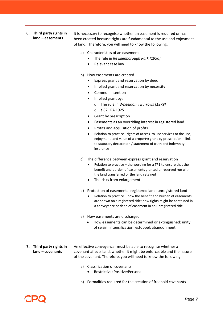| 6. Third party rights in<br>$land - easements$    | It is necessary to recognise whether an easement is required or has<br>been created because rights are fundamental to the use and enjoyment<br>of land. Therefore, you will need to know the following:<br>Characteristics of an easement<br>a)<br>The rule in Re Ellenborough Park [1956]<br>Relevant case law<br>b) How easements are created<br>Express grant and reservation by deed<br>Implied grant and reservation by necessity<br>Common intention<br>Implied grant by:<br>The rule in Wheeldon v Burrows [1879]<br>$\circ$<br>s.62 LPA 1925<br>$\circ$<br>Grant by prescription<br>٠<br>Easements as an overriding interest in registered land<br>Profits and acquisition of profits<br>Relation to practice -rights of access, to use services to the use,<br>enjoyment, and value of a property; grant by prescription - link<br>to statutory declaration / statement of truth and indemnity<br>insurance<br>The difference between express grant and reservation<br>C)<br>Relation to practice - the wording for a TP1 to ensure that the<br>benefit and burden of easements granted or reserved run with<br>the land transferred or the land retained<br>The risks from enlargement<br>d) Protection of easements: registered land; unregistered land<br>Relation to practice $-$ how the benefit and burden of easements<br>are shown on a registered title; how rights might be contained in<br>a conveyance or deed of easement in an unregistered title<br>How easements are discharged<br>e)<br>How easements can be determined or extinguished: unity<br>of seisin; intensification; estoppel; abandonment |
|---------------------------------------------------|-------------------------------------------------------------------------------------------------------------------------------------------------------------------------------------------------------------------------------------------------------------------------------------------------------------------------------------------------------------------------------------------------------------------------------------------------------------------------------------------------------------------------------------------------------------------------------------------------------------------------------------------------------------------------------------------------------------------------------------------------------------------------------------------------------------------------------------------------------------------------------------------------------------------------------------------------------------------------------------------------------------------------------------------------------------------------------------------------------------------------------------------------------------------------------------------------------------------------------------------------------------------------------------------------------------------------------------------------------------------------------------------------------------------------------------------------------------------------------------------------------------------------------------------------------------------------------------------------------------------------------|
| Third party rights in<br>7.<br>$land - covenants$ | An effective conveyancer must be able to recognise whether a<br>covenant affects land, whether it might be enforceable and the nature<br>of the covenant. Therefore, you will need to know the following:<br><b>Classification of covenants</b><br>a)<br>Restrictive; Positive; Personal                                                                                                                                                                                                                                                                                                                                                                                                                                                                                                                                                                                                                                                                                                                                                                                                                                                                                                                                                                                                                                                                                                                                                                                                                                                                                                                                      |
|                                                   | Formalities required for the creation of freehold covenants<br>b)                                                                                                                                                                                                                                                                                                                                                                                                                                                                                                                                                                                                                                                                                                                                                                                                                                                                                                                                                                                                                                                                                                                                                                                                                                                                                                                                                                                                                                                                                                                                                             |



 $\mathbf{r}$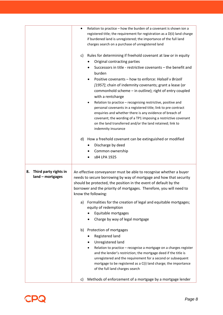|                                                 | Relation to practice - how the burden of a covenant is shown ion a<br>٠<br>registered title; the requirement for registration as a D(ii) land charge<br>if burdened land is unregistered; the importance of the full land<br>charges search on a purchase of unregistered land                                                                                                                             |
|-------------------------------------------------|------------------------------------------------------------------------------------------------------------------------------------------------------------------------------------------------------------------------------------------------------------------------------------------------------------------------------------------------------------------------------------------------------------|
|                                                 | Rules for determining if freehold covenant at law or in equity<br>C)                                                                                                                                                                                                                                                                                                                                       |
|                                                 | Original contracting parties                                                                                                                                                                                                                                                                                                                                                                               |
|                                                 | Successors in title - restrictive covenants - the benefit and<br>burden                                                                                                                                                                                                                                                                                                                                    |
|                                                 | Positive covenants - how to enforce: Halsall v Brizell                                                                                                                                                                                                                                                                                                                                                     |
|                                                 | [1957]; chain of indemnity covenants; grant a lease (or                                                                                                                                                                                                                                                                                                                                                    |
|                                                 | commonhold scheme - in outline); right of entry coupled                                                                                                                                                                                                                                                                                                                                                    |
|                                                 | with a rentcharge                                                                                                                                                                                                                                                                                                                                                                                          |
|                                                 | Relation to practice - recognising restrictive, positive and                                                                                                                                                                                                                                                                                                                                               |
|                                                 | personal covenants in a registered title; link to pre contract                                                                                                                                                                                                                                                                                                                                             |
|                                                 | enquiries and whether there is any evidence of breach of<br>covenant; the wording of a TP1 imposing a restrictive covenant                                                                                                                                                                                                                                                                                 |
|                                                 | on the land transferred and/or the land retained; link to                                                                                                                                                                                                                                                                                                                                                  |
|                                                 | indemnity insurance                                                                                                                                                                                                                                                                                                                                                                                        |
|                                                 | How a freehold covenant can be extinguished or modified<br>d)                                                                                                                                                                                                                                                                                                                                              |
|                                                 | Discharge by deed                                                                                                                                                                                                                                                                                                                                                                                          |
|                                                 | Common ownership                                                                                                                                                                                                                                                                                                                                                                                           |
|                                                 | s84 LPA 1925                                                                                                                                                                                                                                                                                                                                                                                               |
| Third party rights in<br>8.<br>land - mortgages | An effective conveyancer must be able to recognise whether a buyer<br>needs to secure borrowing by way of mortgage and how that security<br>should be protected, the position in the event of default by the<br>borrower and the priority of mortgages. Therefore, you will need to<br>know the following:<br>Formalities for the creation of legal and equitable mortgages;<br>a)<br>equity of redemption |
|                                                 | Equitable mortgages                                                                                                                                                                                                                                                                                                                                                                                        |
|                                                 | Charge by way of legal mortgage                                                                                                                                                                                                                                                                                                                                                                            |
|                                                 | Protection of mortgages<br>b)                                                                                                                                                                                                                                                                                                                                                                              |
|                                                 | Registered land<br>Unregistered land                                                                                                                                                                                                                                                                                                                                                                       |
|                                                 | Relation to practice - recognise a mortgage on a charges register                                                                                                                                                                                                                                                                                                                                          |
|                                                 | and the lender's restriction; the mortgage deed if the title is<br>unregistered and the requirement for a second or subsequent<br>mortgage to be registered as a C(i) land charge; the importance<br>of the full land charges search                                                                                                                                                                       |
|                                                 | Methods of enforcement of a mortgage by a mortgage lender<br>c)                                                                                                                                                                                                                                                                                                                                            |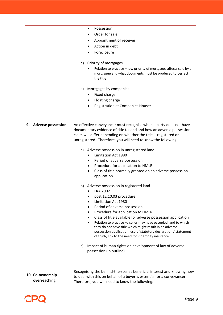|                                    | Possession<br>Order for sale<br>Appointment of receiver<br>Action in debt<br>Foreclosure<br>Priority of mortgages<br>d)<br>Relation to practice -how priority of mortgages affects sale by a<br>mortgagee and what documents must be produced to perfect<br>the title                                                                                                                                                                                                                                                                                                                                                                                                                                                                                                                                                                                                                                                                                                                                                                                                                                 |
|------------------------------------|-------------------------------------------------------------------------------------------------------------------------------------------------------------------------------------------------------------------------------------------------------------------------------------------------------------------------------------------------------------------------------------------------------------------------------------------------------------------------------------------------------------------------------------------------------------------------------------------------------------------------------------------------------------------------------------------------------------------------------------------------------------------------------------------------------------------------------------------------------------------------------------------------------------------------------------------------------------------------------------------------------------------------------------------------------------------------------------------------------|
|                                    | Mortgages by companies<br>e)<br>Fixed charge<br>Floating charge<br><b>Registration at Companies House;</b>                                                                                                                                                                                                                                                                                                                                                                                                                                                                                                                                                                                                                                                                                                                                                                                                                                                                                                                                                                                            |
| <b>Adverse possession</b><br>9.    | An effective conveyancer must recognise when a party does not have<br>documentary evidence of title to land and how an adverse possession<br>claim will differ depending on whether the title is registered or<br>unregistered. Therefore, you will need to know the following:<br>a) Adverse possession in unregistered land<br>Limitation Act 1980<br>Period of adverse possession<br>Procedure for application to HMLR<br>Class of title normally granted on an adverse possession<br>application<br>b) Adverse possession in registered land<br>LRA 2002<br>post 12.10.03 procedure<br>Limitation Act 1980<br>Period of adverse possession<br>Procedure for application to HMLR<br>Class of title available for adverse possession application<br>Relation to practice -a seller may have occupied land to which<br>they do not have title which might result in an adverse<br>possession application; use of statutory declaration / statement<br>of truth; link to the need for indemnity insurance<br>Impact of human rights on development of law of adverse<br>C)<br>possession (in outline) |
| 10. Co-ownership-<br>overreaching; | Recognising the behind-the-scenes beneficial interest and knowing how<br>to deal with this on behalf of a buyer is essential for a conveyancer.<br>Therefore, you will need to know the following:                                                                                                                                                                                                                                                                                                                                                                                                                                                                                                                                                                                                                                                                                                                                                                                                                                                                                                    |

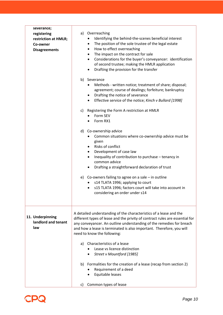| severance;<br>registering<br>restriction at HMLR;<br>Co-owner<br><b>Disagreements</b> | Overreaching<br>a)<br>Identifying the behind-the-scenes beneficial interest<br>The position of the sole trustee of the legal estate<br>٠<br>How to effect overreaching<br>$\bullet$<br>The impact on the contract for sale<br>$\bullet$<br>Considerations for the buyer's conveyancer: identification<br>٠<br>of second trustee; making the HMLR application<br>Drafting the provision for the transfer<br>$\bullet$<br>b) Severance<br>Methods - written notice; treatment of share; disposal;<br>agreement; course of dealings; forfeiture; bankruptcy<br>Drafting the notice of severance<br>٠<br>Effective service of the notice; Kinch v Bullard [1998]<br>$\bullet$<br>Registering the Form A restriction at HMLR<br>C)<br>Form SEV<br>Form RX1<br>Co-ownership advice<br>d)<br>Common situations where co-ownership advice must be<br>given<br>Risks of conflict<br>Development of case law<br>$\bullet$<br>Inequality of contribution to purchase - tenancy in<br>$\bullet$<br>common advice<br>Drafting a straightforward declaration of trust<br>e) Co-owners failing to agree on a sale $-$ in outline<br>s14 TLATA 1996; applying to court<br>s15 TLATA 1996; factors court will take into account in<br>considering an order under s14 |
|---------------------------------------------------------------------------------------|-----------------------------------------------------------------------------------------------------------------------------------------------------------------------------------------------------------------------------------------------------------------------------------------------------------------------------------------------------------------------------------------------------------------------------------------------------------------------------------------------------------------------------------------------------------------------------------------------------------------------------------------------------------------------------------------------------------------------------------------------------------------------------------------------------------------------------------------------------------------------------------------------------------------------------------------------------------------------------------------------------------------------------------------------------------------------------------------------------------------------------------------------------------------------------------------------------------------------------------------------------|
| 11. Underpinning<br>landlord and tenant<br>law                                        | A detailed understanding of the characteristics of a lease and the<br>different types of lease and the privity of contract rules are essential for<br>any conveyancer. An outline understanding of the remedies for breach<br>and how a lease is terminated is also important. Therefore, you will<br>need to know the following:<br>Characteristics of a lease<br>a)<br>Lease vs licence distinction<br>Street v Mountford [1985]<br>b) Formalities for the creation of a lease (recap from section 2)<br>Requirement of a deed<br>Equitable leases<br>Common types of lease<br>C)                                                                                                                                                                                                                                                                                                                                                                                                                                                                                                                                                                                                                                                                 |

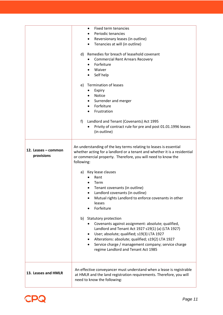|                                   | Fixed term tenancies<br>٠<br>Periodic tenancies<br>$\bullet$<br>Reversionary leases (in outline)<br>٠<br>Tenancies at will (in outline)<br>Remedies for breach of leasehold covenant<br>d)<br><b>Commercial Rent Arrears Recovery</b><br>Forfeiture<br>٠<br>Waiver<br>Self help<br><b>Termination of leases</b><br>e)<br>Expiry<br><b>Notice</b><br>Surrender and merger<br>$\bullet$<br>Forfeiture<br>Frustration<br>Landlord and Tenant (Covenants) Act 1995<br>f)<br>Privity of contract rule for pre and post 01.01.1996 leases<br>(in outline)   |
|-----------------------------------|-------------------------------------------------------------------------------------------------------------------------------------------------------------------------------------------------------------------------------------------------------------------------------------------------------------------------------------------------------------------------------------------------------------------------------------------------------------------------------------------------------------------------------------------------------|
| 12. Leases – common<br>provisions | An understanding of the key terms relating to leases is essential<br>whether acting for a landlord or a tenant and whether it is a residential<br>or commercial property. Therefore, you will need to know the<br>following:                                                                                                                                                                                                                                                                                                                          |
|                                   | Key lease clauses<br>a)<br>Rent<br>Term<br>Tenant covenants (in outline)<br>Landlord covenants (in outline)<br>Mutual rights Landlord to enforce covenants in other<br>leases<br>Forfeiture<br>b) Statutory protection<br>Covenants against assignment: absolute; qualified,<br>Landlord and Tenant Act 1927 s19(1) (a) (LTA 1927)<br>User; absolute; qualified; s19(3) LTA 1927<br>٠<br>Alterations: absolute; qualified; s19(2) LTA 1927<br>Service charge / management company; service charge<br>$\bullet$<br>regime Landlord and Tenant Act 1985 |
| 13. Leases and HMLR               | An effective conveyancer must understand when a lease is registrable<br>at HMLR and the land registration requirements. Therefore, you will<br>need to know the following:                                                                                                                                                                                                                                                                                                                                                                            |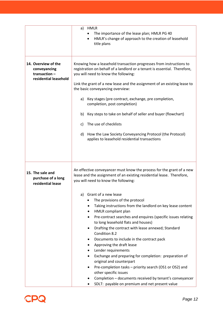|                                                                              | <b>HMLR</b><br>a)<br>The importance of the lease plan; HMLR PG 40<br>HMLR's change of approach to the creation of leasehold<br>title plans                                                                                                                                                                                                                                                                                                                                                                                                                                                                                                                                                                                  |
|------------------------------------------------------------------------------|-----------------------------------------------------------------------------------------------------------------------------------------------------------------------------------------------------------------------------------------------------------------------------------------------------------------------------------------------------------------------------------------------------------------------------------------------------------------------------------------------------------------------------------------------------------------------------------------------------------------------------------------------------------------------------------------------------------------------------|
| 14. Overview of the<br>conveyancing<br>transaction-<br>residential leasehold | Knowing how a leasehold transaction progresses from instructions to<br>registration on behalf of a landlord or a tenant is essential. Therefore,<br>you will need to know the following:<br>Link the grant of a new lease and the assignment of an existing lease to<br>the basic conveyancing overview:<br>a) Key stages (pre contract, exchange, pre completion,<br>completion, post completion)<br>b) Key steps to take on behalf of seller and buyer (flowchart)<br>c) The use of checklists<br>d) How the Law Society Conveyancing Protocol (the Protocol)<br>applies to leasehold residential transactions                                                                                                            |
| 15. The sale and<br>purchase of a long<br>residential lease                  | An effective conveyancer must know the process for the grant of a new<br>lease and the assignment of an existing residential lease. Therefore,<br>you will need to know the following:                                                                                                                                                                                                                                                                                                                                                                                                                                                                                                                                      |
|                                                                              | Grant of a new lease<br>a)<br>The provisions of the protocol<br>Taking instructions from the landlord on key lease content<br>٠<br>HMLR compliant plan<br>Pre-contract searches and enquires (specific issues relating<br>to long leasehold flats and houses)<br>Drafting the contract with lease annexed; Standard<br>Condition 8.2<br>Documents to include in the contract pack<br>Approving the draft lease<br>Lender requirements<br>Exchange and preparing for completion: preparation of<br>original and counterpart<br>Pre-completion tasks - priority search (OS1 or OS2) and<br>other specific issues<br>Completion - documents received by tenant's conveyancer<br>SDLT: payable on premium and net present value |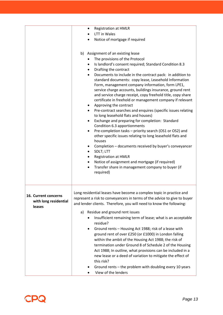| <b>Registration at HMLR</b><br>٠                                                                                                                                                                                                                                                                                                                                                                                                             |
|----------------------------------------------------------------------------------------------------------------------------------------------------------------------------------------------------------------------------------------------------------------------------------------------------------------------------------------------------------------------------------------------------------------------------------------------|
| <b>LTT</b> in Wales                                                                                                                                                                                                                                                                                                                                                                                                                          |
| Notice of mortgage if required                                                                                                                                                                                                                                                                                                                                                                                                               |
| b) Assignment of an existing lease                                                                                                                                                                                                                                                                                                                                                                                                           |
| The provisions of the Protocol<br>٠                                                                                                                                                                                                                                                                                                                                                                                                          |
| Is landlord's consent required; Standard Condition 8.3<br>$\bullet$                                                                                                                                                                                                                                                                                                                                                                          |
| Drafting the contract<br>$\bullet$                                                                                                                                                                                                                                                                                                                                                                                                           |
| Documents to include in the contract pack: in addition to<br>$\bullet$<br>standard documents: copy lease, Leasehold Information<br>Form, management company information, form LPE1,<br>service charge accounts, buildings insurance, ground rent<br>and service charge receipt, copy freehold title, copy share<br>certificate in freehold or management company if relevant<br>Approving the contract<br>$\bullet$                          |
| Pre-contract searches and enquires (specific issues relating<br>$\bullet$<br>to long leasehold flats and houses)                                                                                                                                                                                                                                                                                                                             |
| Exchange and preparing for completion: Standard<br>$\bullet$<br>Condition 6.3 apportionments                                                                                                                                                                                                                                                                                                                                                 |
| Pre-completion tasks - priority search (OS1 or OS2) and<br>٠<br>other specific issues relating to long leasehold flats and<br>houses                                                                                                                                                                                                                                                                                                         |
| Completion - documents received by buyer's conveyancer<br>٠<br>SDLT; LTT<br>$\bullet$                                                                                                                                                                                                                                                                                                                                                        |
| <b>Registration at HMLR</b><br>$\bullet$                                                                                                                                                                                                                                                                                                                                                                                                     |
| Notice of assignment and mortgage (if required)<br>٠                                                                                                                                                                                                                                                                                                                                                                                         |
| Transfer share in management company to buyer (if<br>$\bullet$<br>required)                                                                                                                                                                                                                                                                                                                                                                  |
| Long residential leases have become a complex topic in practice and<br>represent a risk to conveyancers in terms of the advice to give to buyer<br>and lender clients. Therefore, you will need to know the following:                                                                                                                                                                                                                       |
| Residue and ground rent issues<br>a)                                                                                                                                                                                                                                                                                                                                                                                                         |
| Insufficient remaining term of lease; what is an acceptable<br>residue?                                                                                                                                                                                                                                                                                                                                                                      |
| Ground rents - Housing Act 1988; risk of a lease with<br>٠<br>ground rent of over £250 (or £1000) in London falling<br>within the ambit of the Housing Act 1988; the risk of<br>termination under Ground 8 of Schedule 2 of the Housing<br>Act 1988; In outline, what provisions can be included in a<br>new lease or a deed of variation to mitigate the effect of<br>this risk?<br>Ground rents - the problem with doubling every 10 years |
|                                                                                                                                                                                                                                                                                                                                                                                                                                              |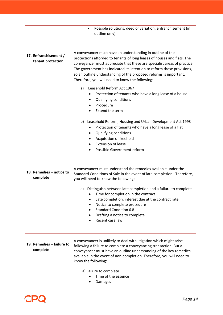|                                            | Possible solutions: deed of variation; enfranchisement (in<br>outline only)                                                                                                                                                                                                                                                                                                                                                                                                                                                                                                                                                                                                                                                                                                                                                                |
|--------------------------------------------|--------------------------------------------------------------------------------------------------------------------------------------------------------------------------------------------------------------------------------------------------------------------------------------------------------------------------------------------------------------------------------------------------------------------------------------------------------------------------------------------------------------------------------------------------------------------------------------------------------------------------------------------------------------------------------------------------------------------------------------------------------------------------------------------------------------------------------------------|
| 17. Enfranchisement /<br>tenant protection | A conveyancer must have an understanding in outline of the<br>protections afforded to tenants of long leases of houses and flats. The<br>conveyancer must appreciate that these are specialist areas of practice.<br>The government has indicated its intention to reform these provisions,<br>so an outline understanding of the proposed reforms is important.<br>Therefore, you will need to know the following:<br>Leasehold Reform Act 1967<br>a)<br>Protection of tenants who have a long lease of a house<br>Qualifying conditions<br>$\bullet$<br>Procedure<br>Extend the term<br>b) Leasehold Reform, Housing and Urban Development Act 1993<br>Protection of tenants who have a long lease of a flat<br>Qualifying conditions<br>$\bullet$<br>Acquisition of freehold<br><b>Extension of lease</b><br>Possible Government reform |
|                                            | A conveyancer must understand the remedies available under the                                                                                                                                                                                                                                                                                                                                                                                                                                                                                                                                                                                                                                                                                                                                                                             |
| 18. Remedies - notice to<br>complete       | Standard Conditions of Sale in the event of late completion. Therefore,<br>you will need to know the following:                                                                                                                                                                                                                                                                                                                                                                                                                                                                                                                                                                                                                                                                                                                            |
|                                            | Distinguish between late completion and a failure to complete<br>a)<br>Time for completion in the contract<br>Late completion; interest due at the contract rate<br>Notice to complete procedure<br><b>Standard Condition 6.8</b><br>Drafting a notice to complete<br>Recent case law                                                                                                                                                                                                                                                                                                                                                                                                                                                                                                                                                      |
| 19. Remedies - failure to<br>complete      | A conveyancer is unlikely to deal with litigation which might arise<br>following a failure to complete a conveyancing transaction. But a<br>conveyancer must have an outline understanding of the key remedies<br>available in the event of non-completion. Therefore, you will need to<br>know the following:                                                                                                                                                                                                                                                                                                                                                                                                                                                                                                                             |
|                                            | a) Failure to complete<br>Time of the essence<br>Damages                                                                                                                                                                                                                                                                                                                                                                                                                                                                                                                                                                                                                                                                                                                                                                                   |